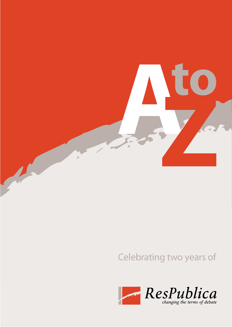

## Celebrating two years of

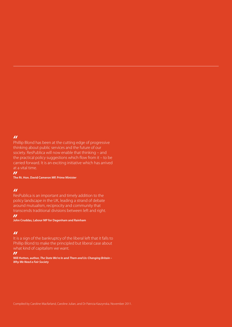*II* Phillip Blond has been at the cutting edge of progressive thinking about public services and the future of our society. ResPublica will now enable that thinking – and the practical policy suggestions which flow from it  $-$  to be carried forward. It is an exciting initiative which has arrived at a vital time.

**The Rt. Hon. David Cameron MP, Prime Minister** *"*

*II* ResPublica is an important and timely addition to the policy landscape in the UK, leading a strand of debate around mutualism, reciprocity and community that transcends traditional divisions between left and right.

 $\boldsymbol{J} \boldsymbol{J}$ <br>John Cruddas, Labour MP for Dagenham and Rainham

**If** is a sign of the bankruptcy of the liberal left that it falls to Phillip Blond to make the principled but liberal case about what kind of capitalism we want.

**Will Hutton, author,** *The State We're In* **and** *Them and Us: Changing Britain – "Why We Need a Fair Society*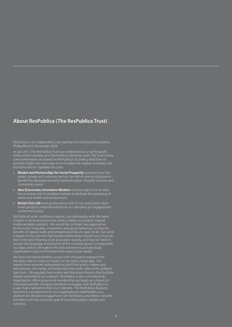#### **About ResPublica (The ResPublica Trust)**

ResPublica is an independent, non-partisan UK think tank founded by Phillip Blond in November 2009.

In July 2011, the ResPublica Trust was established as a not-for-profit entity which oversees all of ResPublica's domestic work. The Trust's three core workstreams are based on ResPublica's founding objectives to provide insight into new ways to re-moralise the market, re-localise the economy and re-capitalise the poor.

- **Models and Partnerships for Social Prosperity** examines how the public, private and voluntary sectors can reform and re-structure to benefit the development and implementation of public services and community assets.
- **• New Economies; Innovative Markets** explores ways to re-localise the economy and re-moralise markets to facilitate the spreading of assets and wealth and achieve trust.
- **• British Civic Life** looks at the central role of civic association, from small groups to national institutions, in cultivating an engaged and connected society.

ResPublica's work combines a radical, civic philosophy with the latest insights in social and economic policy analysis to produce original, implementable solutions. We would like to foster new approaches to economic inequality, investment and group behaviour, so that the benefits of capital, trade and entrepreneurship are open to all. Our work the centre and meaning of an associative society, and that we need to recover the language and practice of the common good. Consequently our ideas seek to strengthen the links between local individuals, organisations and communities that create social capital.

We have had demonstrable success with innovative research that has been seen to make an impact on the policy landscape. Our reports have received widespread acclaim from policy-makers and practitioners, the media, and politicians from both sides of the political spectrum. We regularly host events and discussion forums that facilitate debate and extend our outreach. ResPublica is also a membership organisation, offering personal membership packages as a means for interested and like-minded individuals to engage with ResPublica in a way that is tailored to their own interests. The ResPublica Business Network is a programme for our organisational stakeholders, as a platform for elevated engagement with ResPublica and fellow network members with the common goal of innovative policy debate and solutions.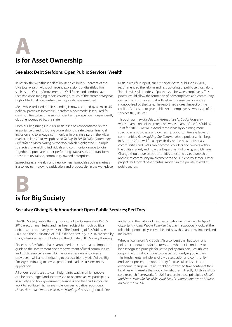# **A is for Asset Ownership**

#### **See also: Debt Serfdom; Open Public Services; Wealth**

In Britain, the wealthiest half of households hold 91 percent of the UK's total wealth. Although recent expressions of dissatisfaction such as the 'Occupy' movements in Wall Street and London have received wide-ranging media coverage, much of the commentary has highlighted that no constructive proposals have emerged.

Meanwhile, reduced public spending is now accepted by all main UK political parties as inevitable. Therefore a new model is required for communities to become self-sufficient and prosperous independently of, but encouraged by, the state.

From our beginnings in 2009, ResPublica has concentrated on the importance of redistributing ownership to create greater financial inclusion and to engage communities in playing a part in the wider market. In late 2010, we published *To Buy, To Bid, To Build: Community Rights for an Asset Owning Democracy,* which highlighted 10 simple strategies for enabling individuals and community groups to join together to purchase under-performing state assets, and transform these into revitalised, community-owned enterprises.

Spreading asset wealth, and new ownershipmodels such as mutuals, is also key to improving satisfaction and productivity in the workplace. ResPublica's first report, *The Ownership State,* published in 2009, recommended the reform and restructuring of public services along 'John Lewis-style' models of partnership between employees. This power would allow the formation of new employee and communityowned 'civil companies' that will deliver the services previously monopolised by the state. The report had a great impact on the coalition's decision to give public sector employees ownership of the services they deliver.

Through our new *Models and Partnerships for Social Prosperity* workstream – one of the three core workstreams of the ResPublica Trust for 2012 – we will extend these ideas by exploring more specific asset-purchase and ownership opportunities available for communities. *Re-energising Our Communities,* a project which began in Autumn 2011, will focus specifically on the how individuals, communities and SMEs can become providers and owners within the utility market, and how the Department of Energy and Climate Change should pursue opportunities to extend asset ownership and direct community involvement to the UK's energy sector. Other projects will look at other mutual models in the private as well as public sectors.



## **is for Big Society**

#### **See also: Giving; Neighbourhood; Open Public Services; Red Tory**

The 'Big Society' was a flagship concept of the Conservative Party's 2010 election manifesto, and has been subject to much political debate and controversy ever since. The founding of ResPublica in 2009 and the publication of Phillip Blond's *Red Tory* in 2010 are seen by many observers as contributing to the climate of Big Society thinking.

Since then, ResPublica has championed the concept as an important guide to the involvement and empowerment of local communities and public service reform which encourages new and diverse providers – whilst not hesitating to act as a 'friendly critic' of the Big Society, continuing to advise, probe, and lead discussions on its application.

All of our reports seek to gain insight into ways in which people can be encouraged and incentivised to become active participants in society, and how government, business and the third sector can work to facilitate this. For example, our participative report *Civic Limits: How much more involved can people get?* has sought to define

and extend the nature of civic participation in Britain, while *Age of Opportunity: Older People, Volunteering and the Big Society* looks at the role older people play in civic life and how this can be maintained and increased.

Whether Cameron's 'Big Society' is a concept that has too many political connotations for its survival, or whether it continues to be a recognised principle for British policy ambition, ResPublica's ongoing work will continue to pursue its underlying objectives. The fundamental principles of civic association and community endeavour present the opportunity for true cultural, social and economic change in Britain, enabling citizens to take control of their localities with results that would benefit them directly. All three of our core research frameworks for 2012 underpin these principles: *Models and Partnerships for Social Renewal; New Economies, Innovative Markets; and British Civic Life.*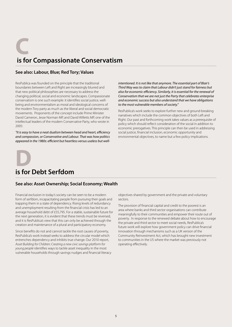# **C is for Compassionate Conservatism**

#### **See also: Labour, Blue; Red Tory; Values**

ResPublica was founded on the principle that the traditional boundaries between Left and Right are increasingly blurred and that new political philosophies are necessary to address the changing political, social and economic landscapes. Compassionate conservatism is one such example: it identifies social justice, wellbeing and environmentalism as moral and ideological concerns of the modern Tory party as much as the liberal and social democratic movements. Proponents of the concept include Prime Minister David Cameron, Jesse Norman MP, and David Willetts MP, one of the intellectual leaders of the modern Conservative Party, who wrote in 2005:

*"It is easy to have a neat dualism between head and heart, efficiency and compassion, or Conservative and Labour. That was how politics appeared in the 1980s: efficient but heartless versus useless but well-* *intentioned. It is not like that anymore. The essential part of Blair's Third Way was to claim that Labour didn't just stand for fairness but also for economic efficiency. Similarly, it is essential for the renewal of Conservatism that we are not just the Party that celebrates enterprise and economic success but also understand that we have obligations to the most vulnerable members of society."* 

ResPublica's work seeks to explore further new and ground-breaking narratives which include the common objectives of both Left and Right. Our past and forthcoming work takes values as a prerequisite of policy which should reflect consideration of the social in addition to economic prerogatives. This principle can then be used in addressing social justice, financial inclusion, economic opportunity and environmental objectives, to name but a few policy implications.



## **is for Debt Serfdom**

#### **See also: Asset Ownership; Social Economy; Wealth**

Financial exclusion in today's society can be seen to be a modern form of serfdom, incapacitating people from pursuing their goals and trapping them in a state of dependency. Rising levels of redundancy and unemployment resulting from the financial crisis has led to an average household debt of £55,795. For a stable, sustainable future for the next generation, it is evident that these trends must be reversed, and it is ResPublica's view that this can only be achieved through the creation and maintenance of a plural and participatory economy.

Since benefits do not and cannot tackle the root causes of poverty, ResPublica's work instead seeks to address the circular model which entrenches dependency and inhibits true change. Our 2010 report, *Asset Building for Children: Creating a new civic savings platform for young people* identifies ways to tackle asset inequality in the most vulnerable households through savings nudges and financial literacy objectives shared by government and the private and voluntary sectors.

The provision of financial capital and credit to the poorest is an area where banks and third sector organisations can contribute meaningfully to their communities and empower their route out of poverty. In response to the renewed debate about how to encourage the private and third sector to meet social needs, ResPublica's future work will explore how government policy can drive financial innovation through mechanisms such as a UK version of the Community Reinvestment Act, which has brought new investment to communities in the US where the market was previously not operating effectively.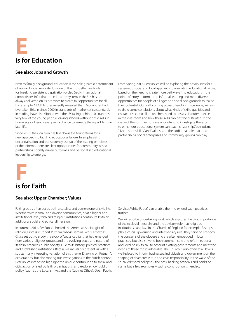

#### **See also: Jobs and Growth**

Next to family background, education is the sole greatest determinant of upward social mobility. It is one of the most effective tools for breaking persistent deprivation cycles. Sadly, international comparisons infer that the education system in the UK has not always delivered on its promises to create fair opportunities for all. For example, OECD figures recently revealed that 16 countries had overtaken Britain since 2000 in standards of mathematics; standards in reading have also slipped with the UK falling behind 10 countries. Very few of the young people leaving schools without basic skills in numeracy or literacy are given a chance to remedy these problems in later life.

Since 2010, the Coalition has laid down the foundations for a new approach to tackling educational failure. In emphasising decentralisation and transparency as two of the leading principles of the reforms, there are clear opportunities for community-based partnerships, socially driven outcomes and personalised educational leadership to emerge.

From Spring 2012, ResPublica will be exploring the possibilities for a systematic, social and local approach to alleviating educational failure, based on the need to create more pathways into education, more points of entry to formal and informal learning and more diverse opportunities for people of all ages and social backgrounds to realise their potential. Our forthcoming project, Teaching Excellence, will aim to draw some conclusions about what kinds of skills, qualities and characteristics excellent teachers need to possess in order to excel in the classroom and how these skills can best be cultivated. In the wake of the summer riots, we also intend to investigate the extent to which our educational system can teach 'citizenship', 'patriotism', 'civic responsibility' and 'values', and the additional role that local partnerships, social enterprises and community groups can play.



#### **is for Faith**

#### **See also: Upper Chamber; Values**

Faith groups often act as both a catalyst and cornerstone of civic life. Whether within small and diverse communities, or at a higher and institutional level, faith and religious institutions contribute both an additional social and ethical dimension.

In summer 2011, ResPublica hosted the American sociologist of religion, Professor Robert Putnam, whose seminal work *American Grace* set out to study the stock of 'social capital' that had emerged from various religious groups, and the evolving place and nature of 'faith' in America's public society. Due to its history, political practices and established institutions, Britain will inevitably present us with a substantially interesting variation of this theme. Drawing on Putnam's explorations, but also rooting our investigations in the British context, ResPublica intends to highlight the unique contribution to social and civic action offered by faith organisations, and explore how public policy (such as the Localism Act and the Cabinet Office's Open Public

Services White Paper) can enable them to extend such practices further.

We will also be undertaking work which explores the civic importance of the ecclesial hierarchy and the advisory role that religious institutions can play. In the Church of England for example, Bishops play a crucial governing and intermediary role. They serve to embody the concerns of the diocese and are often embedded in local practices, but also strive to both communicate and reform national and local policy to call to account existing governments and meet the needs of those most vulnerable. The Church is also often at all levels well-placed to inform businesses, individuals and government on the shaping of character, virtue and civic responsibility. In the wake of the so-called 'moral collapse'– the riots, hacking scandals and banks, to name but a few examples – such a contribution is needed.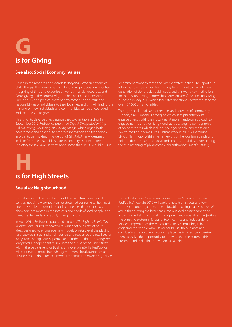# **G is for Giving**

#### **See also: Social Economy; Values**

Giving in the modern age extends far beyond Victorian notions of philanthropy. The Government's calls for civic participation prioritise the giving of time and expertise as well as financial resources, and frame giving in the context of group behaviour and association. Public policy and political rhetoric now recognise and value the responsibilities of individuals to their localities, and this will lead future thinking on how individuals and communities can be encouraged and incentivised to give.

This is not to devalue direct approaches to charitable giving. In September 2010 ResPublica published *Digital Giving: Modernising Gift Aid; Taking civil society into the digital age,* which urged both government and charities to embrace innovation and technology in order to get maximum value out of Gift Aid. After widespread acclaim from the charitable sector, in February 2011 Permanent Secretary for Tax Dave Hartnett announced that HMRC would pursue recommendations to move the Gift Aid system online. The report also advocated the use of new technology to reach out to a whole new generation of donors via social media and this was a key motivation for the 'JustTextGiving' partnership between Vodafone and Just Giving launched in May 2011 which facilitates donations via text message for over 184,000 British charities.

Through social media and other tiers and networks of community support, a new model is emerging which sees philanthropists engage directly with their localities. A more 'hands-on' approach to engagement is another rising trend, as is a changing demographic of philanthropists which includes younger people and those on a low-to-median incomes. ResPublica's work in 2012 will examine 'civic philanthropy' within the framework of the localism agenda and political discourse around social and civic responsibility, underscoring the true meaning of philanthropy, philanthropos: *love of humanity.*



### **is for High Streets**

#### **See also: Neighbourhood**

High streets and town centres should be multifunctional social centres, not simply competitors for stretched consumers. They must offer irresistible opportunities and experiences that do not exist elsewhere, are rooted in the interests and needs of local people, and meet the demands of a rapidly changing world.

In April 2011, ResPublica published a report, *The Right to Retail: Can localism save Britain's small retailers?* which set out a raft of policy ideas designed to encourage new models of retail, level the playing field between large and small retailers and rebalance the retail sector away from the 'Big Four' supermarkets. Further to this and alongside Mary Portas' independent review into the future of the High Street within the Department for Business Innovation & Skills, ResPublica will continue to probe into what government, local authorities and businesses can do to foster a more prosperous and diverse high street.

Framed within our *New Economies; Innovative Markets* workstream, ResPublica's work in 2012 will explore how high streets and town centres can once again become enjoyable, exciting places to live. We argue that putting the heart back into our local centres cannot be accomplished simply by making shops more competitive or adjusting the planning system in favour of town centres and independent retailers, important as these measures are. We must begin by engaging the people who use (or could use) these places and considering the unique assets each place has to offer. Town centres then can seize the opportunity to innovate that the current crisis presents, and make this innovation sustainable.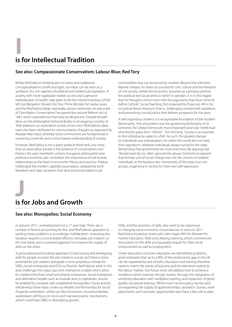# **I is for Intellectual Tradition**

#### **See also: Compassionate Conservatism; Labour Blue; Red Tory**

Whilst ResPublica's thinking aims to transcend traditional conceptualisations of left and right, our ideas can be seen as a synthesis of a rich tapestry of political and intellectual inspiration. A society with more egalitarian market access and a genuine redistribution of wealth may seem to be the inherent territory of the left, but Benjamin Disraeli, the Tory Prime Minister for twelve years and the ResPublica blog's namesake, proves otherwise. An advocate of 'One Nation Conservatism', he passed the second Reform Act of 1867 which extended the franchise by 88 percent. Disraeli himself drew on the philosopher Edmund Burke, in envisaging a society of 'little platoons; an associative society of our own'. ResPublica's ideas have also been attributed to communitarian thought as espoused by Alasdair MacIntyre, whereby local communities are fundamental in sustaining moral life and a virtue-based understanding of society.

However, ResPublica is not a party-political think-tank, any more than an associative society is the preserve of conservatives. Karl Polanyi, the early twentieth-century Hungarian philosopher and political economist, also centralises the importance of real human relationships as the basis to economic theory and practice. Polanyi challenged the modern capitalist assumption, adopted by both liberalism and state socialism, that land and social relations are

commodities that can be priced by markets. Beyond the inherited Marxist critique, his vision accounted for civic culture and the freedom of civil society, where the 'economic' assumes as a primary premise the political and social arena in which it operates. It is in this regard that his thoughts chime most with the arguments that have come to define Catholic Social Teaching, first proposed by Pope Leo XIII in his encyclical *Rerum Novarum;* that is, challenging unrestricted capitalism, and promoting a social justice that delivers prosperity for the poor.

A self-organising citizenry is a recognisable foundation of the modern liberal party. Free association was the governing philosophy of Jo Grimond, the Liberal Democrats' most important post-war intellectual who led the party from 1956-67. For Grimond, 'Society is as essential to the individual as water to a fish'. As such, the greatest danger to individuals was individualism, for when the world did not meet their aspirations utilitarian individuals always turned to the state, demanding that government do more and more. By arguing that 'liberals have far too often ignored the group', Grimond recognised that the key unit of social change was not the choices of isolated individuals or the bureaucratic monstrosity of the state, but civic groups, organising in society for their own self-expression.

# **J is for Jobs and Growth**

#### **See also: Monopolies; Social Economy**

In autumn 2011, unemployment hit a 17 year high. There are a number of factors accounting for this, and ResPublica's approach to tackling these problems is accordingly multifaceted - improving the situation requires a concentrated effort to stimulate job creation on the one hand, and a sustained approach to improve the supply of skills on the other.

A personalised and localised approach to harnessing and developing skills for people to enter the job market is crucial, and there is most potential for job creation alongside a more propitious climate for SMEs, social enterprises and VCOs to flourish. ResPublica's work in this area challenges the status quo and champions models which allow for market entry from small and diverse enterprises. Social enterprises, and alternative models such as mutuals and co-operatives, should be enabled to compete with established monopolies. Future activity will develop these ideas under our *Models and Partnerships for Social Prosperity workstream,* whilst our *New Economies, Innovative Markets* workstream will focus on micro and macroeconomic mechanisms which could help SMEs in stimulating growth.

Skills, and the provision of skills, also need to be responsive to changing socio-economic circumstances. In autumn 2011 ResPublica hosted an event with John Hayes MP, the Minister for Further Education, Skills and Lifelong Learning, which commenced discussions on the skills young people require for their social enhancement as well as employment.

Under-education and over-education are identifiable problems, given estimates that up to a fifth of the productivity gap in the UK can be explained by lack of skills. Education and training therefore need to match the needs of business and the demand created by the labour market. Our future work will address how to achieve a workforce which matches the job market, through the integration of university education with workplace training, and expansion of good quality vocational training. Whilst much recent policy has focused on expanding the supply of apprenticeships, sandwich courses, work placements, and voluntary opportunities also have a key role to play.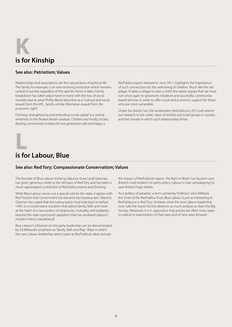

#### **See also: Patriotism; Values**

Relationships and associations are the natural basis of political life. The family, for example, is an ever-evolving institution which remains central to society regardless of the specific forms it takes. Family breakdown has taken place hand-in-hand with the loss of social morality due to what Phillip Blond describes as a "cultural and social assault from the left... [and] a similar libertarian assault from the economic right".

Forming, strengthening and extending 'social capital' is a central antithesis to the 'Broken Britain' analysis. *Children and the Big Society: Backing communities to keep the next generation safe and happy,* a

ResPublica report released in June 2011, highlights the importance of such connections for the well-being of children. Much like the old adage, 'It takes a village to raise a child', the report argues that we must turn once again to grassroots initiatives and successful, communitybased services in order to offer social and economic support for those who are most vulnerable.

Under the *British Civic Life* workstream, ResPublica in 2012 will extend our research to the wider value of kinship and small groups in society– and the climate in which such relationships thrive.



## **is for Labour, Blue**

#### **See also: Red Tory; Compassionate Conservatism; Values**

The founder of Blue Labour thinking, Maurice (now Lord) Glasman, has given generous credit to the stimulus of Red Tory and has been a much appreciated contributor to ResPublica events and thinking.

While Blue Labour carves out a special role for the state, it agrees with Red Toryism that Government has become too bureaucratic. Maurice Glasman has urged that the Labour party must look back to before 1945, to a 'conservative socialism that places family, faith and work at the heart of a new politics of reciprocity, mutuality and solidarity', beyond the state-sponsored capitalism that has rendered Labour's modern history 'paradoxical'.

Blue Labour's influence on the party leadership can be demonstrated by Ed Milband's emphasis on 'family, faith and flag'. Ways in which the new Labour leadership seems open to ResPublica's ideas include

the impact of ResPublica's report, *The Right to Retail: Can localism save Britain's small retailers?* on party policy. Labour is now campaigning to save Britain's high streets.

As a 'politics of paradox', a term coined by Professor John Milbank, the Chair of the ResPublica Trust, Blue Labour is just as interesting to ResPublica as is Red Tory. Similarly, what the new Labour leadership now calls the Good Society deserves as much analysis as does the Big Society. Moreover, it is in opposition that parties are often more open to radical re-examination of their past and of new ways forward.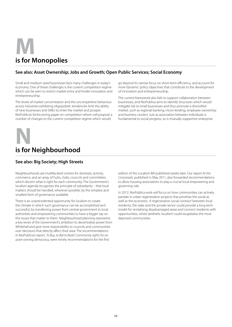# **M is for Monopolies**

#### **See also: Asset Ownership; Jobs and Growth; Open Public Services; Social Economy**

Small and medium sized businesses face many challenges in today's economy. One of these challenges is the current competition regime which can be seen to restrict market entry and hinder innovation and entrepreneurship.

The levels of market concentration and the uncompetitive behaviour across industries exhibiting oligopolistic tendencies limit the ability of new businesses and SMEs to enter the market and prosper. ResPublica's forthcoming paper on competition reform will propose a number of changes to the current competition regime which would

go beyond its narrow focus on short-term efficiency, and account for more 'dynamic' policy objectives that contribute to the development of innovation and entrepreneurship.

The current framework also fails to support collaboration between businesses, and ResPublica aims to identify structures which would mitigate risk to small businesses and thus promote a diversified market, such as regional banking, micro-lending, employee ownership and business clusters. Just as association between individuals is fundamental to social progress, so is mutually supportive enterprise.



## **is for Neighbourhood**

#### **See also: Big Society; High Streets**

Neighbourhoods are multifaceted centres for domestic activity, commerce, and an array of hubs, clubs, councils and committees, which discern what is right for each community. The Government's localism agenda recognises the principle of subsidiarity – that local matters should be handled, wherever possible, by the simplest and smallest form of governance available.

There is an unprecedented opportunity for localism to create the climate in which such governance can be accomplished and successful, by transferring power from central government to local authorities and empowering communities to have a bigger say on the issues that matter to them. Neighbourhood planning represents a key tenet of the Government's ambition to decentralise power from Whitehall and give more responsibility to councils and communities over decisions that directly affect their area. The recommendations in ResPublica's report, *To Buy, to Bid to Build: Community rights for an asset-owning democracy,* were timely recommendations for the first

edition of the Localism Bill published weeks later. Our report *At the Crossroads,* published in May 2011, also forwarded recommendations to allow housing associations to play a crucial local empowering and governing role.

In 2012, ResPublica work will focus on how communities can actively partake in urban regeneration projects that prioritise the social as well as the economic. A 'regeneration social contract' between local residents, the state and the private sector could provide a long term model for revitalising disadvantaged areas and connect residents with opportunities, whilst 'aesthetic localism' could recapitalise the most deprived communities.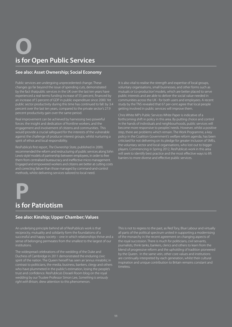## **O is for Open Public Services**

#### **See also: Asset Ownership; Social Economy**

Public services are undergoing unprecedented change. These changes go far beyond the issue of spending cuts, demonstrated by the fact thatpublic services in the UK over the last ten years have experienced a real-terms funding increase of 55 percent, financed by an increase of 5 percent of GDP in public expenditure since 2000. Yet public sector productivity during this time has continued to fall: by 3.4 percent over the last ten years, compared to the private sector's 27.9 percent productivity gain over the same period.

Real improvement can be achieved by harnessing two powerful forces: the insight and dedication of frontline workers, and the engagement and involvement of citizens and communities. This would provide a crucial safeguard for the interests of the vulnerable against the challenge of producer interest groups, whilst nurturing a spirit of ethos and local responsibility.

ResPublica's first report, *The Ownership State,* published in 2009, recommended the reform and restructuring of public services along 'John Lewis-style' models of partnership between employees, in order to free them from centralised bureaucracy and ineffective micro management. Engaged and empowered workers and citizens are better at cutting costs and correcting failure than those managed by command-and-control methods, whilst delivering services tailored to local need.

It is also vital to realise the strength and expertise of local groups, voluntary organisations, small businesses, and other forms such as mutuals or 'co-production' models, which are better placed to serve public interests and are able to deliver the social value needed in communities across the UK - for both users and employees. A recent study by the TNS revealed that 67 per-cent agree that local people getting involved in public services will improve them.

Chris White MP's Public Services White Paper is indicative of a forthcoming shift in policy in this area. By putting choice and control in the hands of individuals and neighbourhoods, public services will become more responsive to peoples' needs. However, whilst a positive step, there are problems which remain. The Work Programme, a key policy in the Coalition Government's welfare reform agenda, has been criticised for not delivering on its pledge for greater inclusion of SMEs, the voluntary sector and local organisations, who lost out to bigger players. Commencing in Spring 2012, ResPublica's work in this area will seek to identify best practice and the most effective ways to lift barriers to more diverse and effective public services.

# **P**

## **is for Patriotism**

#### **See also: Kinship; Upper Chamber; Values**

An underlying principle behind all of ResPublica's work is that reciprocity, mutuality and solidarity form the foundations of a successful and happy society – one in which relationships thrive and a sense of belonging permeates from the smallest to the largest of our institutions.

The widespread celebrations of the wedding of the Duke and Duchess of Cambridge in 2011 demonstrated the enduring civic spirit of the nation. The Queen herself has seen an 'annus mirabilis', in contrast to politicians, the media, business, bankers, clergy and others who have plummeted in the public's estimation, losing the people's trust and confidence. ResPublica's Disraeli Room blog on the royal wedding by our Trustee Professor Simon Lee, *Something is seriously right with Britain,* drew attention to this phenomenon.

This is not to regress to the past, as Red Tory, Blue Labour and virtually all parts of the political spectrum united in supporting a modernising of the monarchy in the recent agreement on changing aspects of the royal succession. There is much for politicians, civil servants, journalists, think tanks, bankers, clerics and others to learn from the blend of progressive reform and the upholding of tradition pioneered by the Queen. In the same vein, other core values and institutions are continually interpreted by each generation, whilst their cultural inspiration and unique contribution to Britain remains constant and timeless.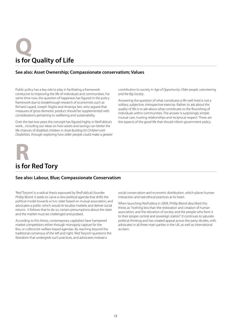

#### **See also: Asset Ownership; Compassionate conservatism; Values**

Public policy has a key role to play in facilitating a framework conducive to improving the life of individuals and communities. For some time now, the question of happiness has figured in the policy framework due to breakthrough research of economists such as Richard Layard, Joseph Stiglitz and Amartya Sen, who argued that measures of gross domestic product should be supplemented with considerations pertaining to wellbeing and sustainability.

Over the last two years the concept has figured highly in ResPublica's work, , including our ideas on how assets and savings can better the life chances of disabled children in *Asset Building for Children with Disabilities,* through exploring how older people could make a greater contribution to society in *Age of Opportunity: Older people, volunteering and the Big Society.*

Answering the question of what constitutes a life well lived is not a solitary, subjective, introspective exercise. Rather, to ask about the quality of life is to ask about what contributes to the flourishing of individuals within communities. The answer is surprisingly simple: mutual care, trusting relationships and reciprocal respect. These are the aspects of the good life that should inform government policy.



#### **See also: Labour, Blue; Compassionate Conservatism**

'Red Toryism' is a radical thesis espoused by ResPublica's founder Phillip Blond. It seeks to carve a new political agenda that shifts the political model towards a 'civic state' based on mutual association, and advocates a politic which would re-localise markets and deliver social returns. It follows that to do so, certain presumptions about the state and the market must be challenged and probed.

According to this thesis, contemporary capitalists have hampered market competition; either through monopoly capture for the few, or collectivist welfare-based agendas. By reaching beyond the traditional consensus of the left and right, 'Red Toryism' questions the liberalism that undergirds such practices, and advocates instead a

social conservatism and economic distributism, which places human interaction and real ethical practices at its heart.

When launching ResPublica in 2009, Phillip Blond described this thesis as "nothing less than the restoration and creation of human association, and the elevation of society and the people who form it to their proper central and sovereign station". It continues to saturate political thinking and has created appeal across the party divides, with advocates in all three main parties in the UK, as well as international acclaim.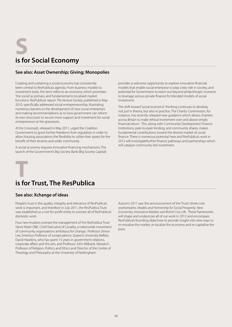# **S is for Social Economy**

#### **See also: Asset Ownership; Giving; Monopolies**

Creating and sustaining a social economy has consistently been central to ResPublica's agenda. From business models to investment tools, the term refers to an economy which promotes 'the social' as primary and fundamental to localised market functions. ResPublica's report *The Venture Society,* published in May 2010, specifically addressed social entrepreneurship, illustrating numerous barriers to the development of new social enterprises and making recommendations as to how government can reform its own structures to secure more support and investment for social entrepreneurs at the grassroots.

*At the Crossroads,* released in May 2011, urged the Coalition Government to grant further freedoms from regulation in order to allow housing associations the flexibility to utilise their assets for the benefit of their tenants and wider community.

A social economy requires innovative financing mechanisms. The launch of the Government's Big Society Bank (Big Society Capital) provides a welcome opportunity to explore innovative financial models that enable social enterprise to play a key role in society, and potential for Government to reach out beyond philanthropic investors to leverage serious private finance for blended models of social investment.

The shift toward 'social economic' thinking continues to develop, not just in theory, but also in practice. The Charity Commission, for instance, has recently released new guidance which allows charities across Britain to make ethical investment over and above simply financial return. This, along with Community Development Finance Institutions, peer-to-peer lending, and community shares, makes fundamental contributions toward the diverse market of social finance. There is numerous potential here and ResPublica's work in 2012 will investigatefurther finance pathways and partnerships which will catalyse community-led investment.

## **T is for Trust, The ResPublica**

#### **See also: Xchange of ideas**

People's trust in the quality, integrity and relevance of ResPublica's work is important, and therefore in July 2011, the ResPublica Trust was established as a not-for-profit entity to oversee all of ResPublica's domestic work.

Four new trustees oversee the management of the ResPublica Trust: Steve Wyler OBE, Chief Executive of Locality, a nationwide movement of community organisations ambitious for change; Professor Simon Lee, Emeritus Professor of Jurisprudence, Queen's University Belfast; David Hawkins, who has spent 15 years in government relations, corporate affairs and the arts, and Professor John Milbank, Research Professor of Religion, Politics and Ethics and Director of the Centre of Theology and Philosophy at the University of Nottingham.

Autumn 2011 saw the announcement of the Trust's three core workstreams: *Models and Partnership for Social Prosperity; New Economies, Innovative Markets and British Civic Life.* These frameworks will shape and underscore all of our work in 2012 and encompass ResPublica's founding objectives to provide insight into new ways to re-moralise the market, re-localise the economy and re-capitalise the poor.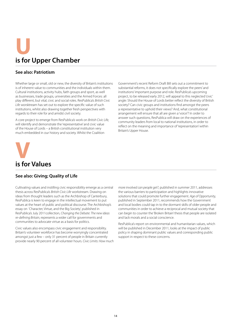# **U is for Upper Chamber**

#### **See also: Patriotism**

Whether large or small, old or new, the diversity of Britain's institutions is of inherent value to communities and the individuals within them. Cultural institutions, activity hubs, faith groups and sport, as well as businesses, trade groups, universities and the Armed Forces: all play different, but vital, civic and social roles. ResPublica's *British Civic Life* worsktream has set out to explore the specific value of such institutions, whilst also drawing together fresh perspectives with regards to their role for and amidst civil society.

A core project to emerge from ResPublica's work on *British Civic Life,* will identify and demonstrate the 'representative' and civic value of the House of Lords – a British constitutional institution very much embedded in our history and society. Whilst the Coalition

Government's recent Reform Draft Bill sets out a commitment to substantial reforms, it does not specifically explore the peers' and institutions' important purpose and role. ResPublica's upcoming project, to be released early 2012, will appeal to this neglected 'civic' angle: Should the House of Lords better reflect the diversity of British society? Can civic groups and institutions find amongst the peers a representative to uphold their views? And, what constitutional arrangement will ensure that all are given a 'voice'? In order to answer such questions, ResPublica will draw on the experiences of community leaders from local to national institutions, in order to reflect on the meaning and importance of 'representation' within Britain's Upper House.



#### **See also: Giving; Quality of Life**

Cultivating values and instilling civic responsibility emerge as a central thesis across ResPublica's *British Civic Life* workstream. Drawing on ideas from thought leaders such as the Archbishop of Canterbury, ResPublica is keen to engage in the intellectual movement to put values at the heart of public and political discourse. The Archbishop's essay on 'Character, Virtue, and the Big Society', published in ResPublica's July 2011collection, *Changing the Debate: The new ideas re-defining Britain,* represents a wider call for governments and communities to advocate virtue as a basis for politics.

Civic values also encompass civic engagement and responsibility. Britain's volunteer workforce has become worryingly concentrated amongst just a few – only 31 percent of people in Britain currently provide nearly 90 percent of all volunteer hours. *Civic Limits: How much*  *more involved can people get?,* published in summer 2011, addresses the various barriers to participation and highlights innovative solutions that could promote further engagement. *Age of Opportunity,* published in September 2011, recommends how the Government and local bodies could tap in to the dormant skills of older people and communities in order to achieve a reciprocal and mutual society that can begin to counter the 'Broken Britain' thesis that people are isolated and lack morals and a social conscience.

ResPublica's report on environmental and humanitarian values, which will be published in December 2011, looks at the impact of public policy in shaping dominant public values and corresponding public support in respect to these concerns.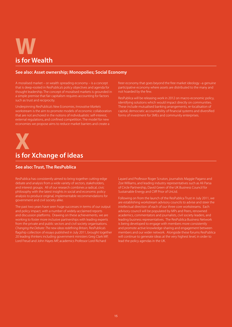# **W is for Wealth**

#### **See also: Asset ownership; Monopolies; Social Economy**

A moralised market – or wealth spreading economy – is a concept that is deep-rooted in ResPublica's policy objectives and agenda for thought leadership. The concept of moralised markets is grounded in a simple premise that fair capitalism requires accounting for factors such as trust and reciprocity.

Underpinning ResPublica's *New Economies, Innovative Markets* workstream is the aim to promote models of economic collaboration that are not anchored in the notions of individualistic self-interest, external regulations, and confined competition. The model for new economies we propose aims to reduce market barriers and create a

freer economy that goes beyond the free market ideology –a genuine participative economy where assets are distributed to the many and not hoarded by the few.

ResPublica will be releasing work in 2012 on macro-economic policy, identifying solutions which would impact directly on communities. These include mutualised banking arrangements, re-localisation of capital, democratic accountability of financial systems and diversified forms of investment for SMEs and community enterprises.



#### **See also: Trust, The ResPublica**

ResPublica has consistently aimed to bring together cutting-edge debate and analysis from a wide variety of sectors, stakeholders, and interest groups. All of our research combines a radical, civic philosophy with the latest insights in social and economic policy analysis to produce original, implementable recommendations for government and civil society alike.

The past two years have seen huge successes in terms of our output and policy impact, with a number of widely-acclaimed reports and discussion platforms. Drawing on these achievements, we are working to foster more inclusive partnerships with leading experts from the private and public sectors and civil society organisations. *Changing the Debate: The new ideas redefining Britain,* ResPublica's flagship collection of essays published in July 2011, brought together 20 leading thinkers including government ministers Greg Clark MP, Lord Freud and John Hayes MP, academics Professor Lord Richard

Layard and Professor Roger Scruton, journalists Maggie Pagano and Zoe Williams, and leading industry representatives such as Ali Parsa of Circle Partnership, David Green of the UK Business Council for Sustainable Energy and Cliff Prior of UnLtd.

Following on from the launch of the ResPublica Trust in July 2011, we are establishing workstream advisory councils to advise and steer the intellectual direction of each of our three core workstreams. Each advisory council will be populated by MPs and Peers, renowned academics, commentators and journalists, civil society leaders, and leading business representatives. The ResPublica Business Network is being developed to engage with members more consistently and promote active knowledge-sharing and engagement between members and our wider network. Alongside these forums ResPublica will continue to generate ideas at the very highest level, in order to lead the policy agendas in the UK.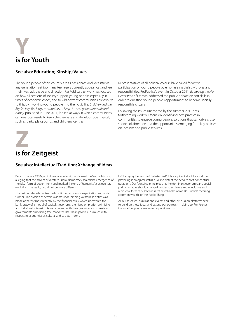# **Y is for Youth**

#### **See also: Education; Kinship; Values**

The young people of this country are as passionate and idealistic as any generation, yet too many teenagers currently appear lost and feel their lives lack shape and direction. ResPublica past work has focused on how all sections of society support young people, especially in times of economic chaos, and to what extent communities contribute to this, by involving young people into their civic life. *Children and the Big Society: Backing communities to keep the next generation safe and happy,* published in June 2011, looked at ways in which communities can use local assets to keep children safe and develop social capital, such as parks, playgrounds and children's centres.

Representatives of all political colours have called for active participation of young people by emphasising their civic roles and responsibilities. ResPublica's event in October 2011, *Equipping the Next Generation of Citizens,* addressed the public debate on soft skills in order to question young people's opportunities to become socially responsible citizens.

Following the issues uncovered by the summer 2011 riots, forthcoming work will focus on identifying best practice in communities to engage young people, solutions that can drive crosssector collaboration and the opportunities emerging from key policies on localism and public services.



#### **See also: Intellectual Tradition; Xchange of ideas**

Back in the late 1980s, an influential academic proclaimed the 'end of history', alleging that the advent of Western liberal democracy sealed the emergence of the ideal form of government and marked the end of humanity's sociocultural evolution. The reality could not be more different.

The last two decades witnessed continued economic exploitation and social turmoil. The erosion of certain 'axioms' underpinning Western societies was made apparent most recently by the financial crisis, which uncovered the bankruptcy of a model of capitalist economy premised on profit-maximising and individual interest. This was coupled with the complacency of Western governments embracing free-marketer, libertarian policies - as much with respect to economics as cultural and societal norms.

In 'Changing the Terms of Debate', ResPublica aspires to look beyond the prevailing ideological status-quo and detect the need to shift conceptual paradigm. Our founding principles that the dominant economic and social policy narrative should change in order to achieve a more inclusive and reciprocal form of public life, is reflected in the name 'ResPublica', meaning common wealth, or 'the Public Thing'.

All our research, publications, events and other discussion platforms seek to build on these ideas and extend our outreach in doing so. For further information, please see www.respublica.org.uk.